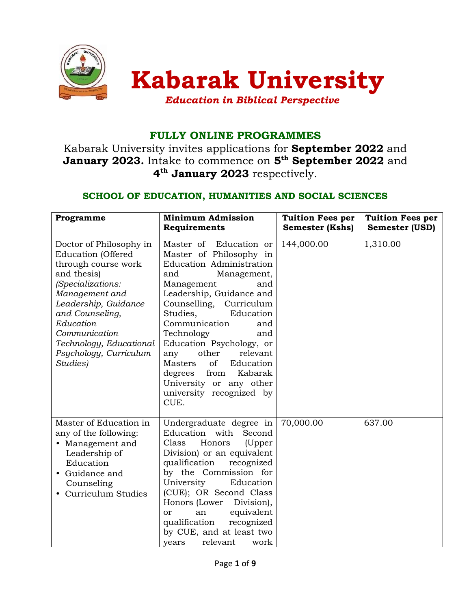

# FULLY ONLINE PROGRAMMES

Kabarak University invites applications for September 2022 and **January 2023.** Intake to commence on  $5^{\text{th}}$  September 2022 and 4<sup>th</sup> January 2023 respectively.

## SCHOOL OF EDUCATION, HUMANITIES AND SOCIAL SCIENCES

| Programme                                                                                                                                                                                                                                                                   | <b>Minimum Admission</b><br>Requirements                                                                                                                                                                                                                                                                                                                                                                                                    | <b>Tuition Fees per</b><br><b>Semester (Kshs)</b> | <b>Tuition Fees per</b><br>Semester (USD) |
|-----------------------------------------------------------------------------------------------------------------------------------------------------------------------------------------------------------------------------------------------------------------------------|---------------------------------------------------------------------------------------------------------------------------------------------------------------------------------------------------------------------------------------------------------------------------------------------------------------------------------------------------------------------------------------------------------------------------------------------|---------------------------------------------------|-------------------------------------------|
| Doctor of Philosophy in<br><b>Education</b> (Offered<br>through course work<br>and thesis)<br>(Specializations:<br>Management and<br>Leadership, Guidance<br>and Counseling,<br>Education<br>Communication<br>Technology, Educational<br>Psychology, Curriculum<br>Studies) | Master of<br>Education or<br>Master of Philosophy in<br>Education Administration<br>Management,<br>and<br>Management<br>and<br>Leadership, Guidance and<br>Counselling, Curriculum<br>Studies,<br>Education<br>Communication<br>and<br>Technology<br>and<br>Education Psychology, or<br>other<br>relevant<br>any<br>of<br>Masters<br>Education<br>Kabarak<br>degrees<br>from<br>University or any other<br>university recognized by<br>CUE. | 144,000.00                                        | 1,310.00                                  |
| Master of Education in<br>any of the following:<br>• Management and<br>Leadership of<br>Education<br>• Guidance and<br>Counseling<br>• Curriculum Studies                                                                                                                   | Undergraduate degree in<br>Education with Second<br>Class<br>Honors<br>(Upper<br>Division) or an equivalent<br>qualification<br>recognized<br>by the Commission for<br>University<br>Education<br>(CUE); OR Second Class<br>Honors (Lower<br>Division),<br>equivalent<br>an<br>or<br>qualification<br>recognized<br>by CUE, and at least two<br>relevant<br>years<br>work                                                                   | 70,000.00                                         | 637.00                                    |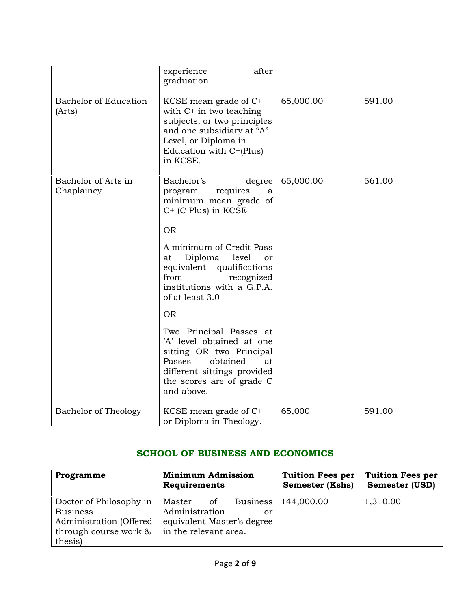|                                        | after<br>experience<br>graduation.                                                                                                                                                     |           |        |
|----------------------------------------|----------------------------------------------------------------------------------------------------------------------------------------------------------------------------------------|-----------|--------|
| <b>Bachelor of Education</b><br>(Arts) | KCSE mean grade of C+<br>with $C+$ in two teaching<br>subjects, or two principles<br>and one subsidiary at "A"<br>Level, or Diploma in<br>Education with C+(Plus)<br>in KCSE.          | 65,000.00 | 591.00 |
| Bachelor of Arts in<br>Chaplaincy      | Bachelor's<br>degree<br>requires<br>program<br>a<br>minimum mean grade of<br>C+ (C Plus) in KCSE                                                                                       | 65,000.00 | 561.00 |
|                                        | <b>OR</b>                                                                                                                                                                              |           |        |
|                                        | A minimum of Credit Pass<br>Diploma<br>level<br>at<br>or<br>equivalent qualifications<br>from<br>recognized<br>institutions with a G.P.A.<br>of at least 3.0                           |           |        |
|                                        | <b>OR</b>                                                                                                                                                                              |           |        |
|                                        | Two Principal Passes at<br>'A' level obtained at one<br>sitting OR two Principal<br>Passes<br>obtained<br>at<br>different sittings provided<br>the scores are of grade C<br>and above. |           |        |
| <b>Bachelor of Theology</b>            | KCSE mean grade of C+<br>or Diploma in Theology.                                                                                                                                       | 65,000    | 591.00 |

# SCHOOL OF BUSINESS AND ECONOMICS

| Programme               | <b>Minimum Admission</b><br>Requirements | <b>Tuition Fees per</b><br><b>Semester (Kshs)</b> | <b>Tuition Fees per</b><br><b>Semester (USD)</b> |
|-------------------------|------------------------------------------|---------------------------------------------------|--------------------------------------------------|
| Doctor of Philosophy in | Master<br><b>Business</b><br>of          | 144,000.00                                        | 1,310.00                                         |
| <b>Business</b>         | Administration<br>or                     |                                                   |                                                  |
| Administration (Offered | equivalent Master's degree               |                                                   |                                                  |
| through course work &   | in the relevant area.                    |                                                   |                                                  |
| thesis)                 |                                          |                                                   |                                                  |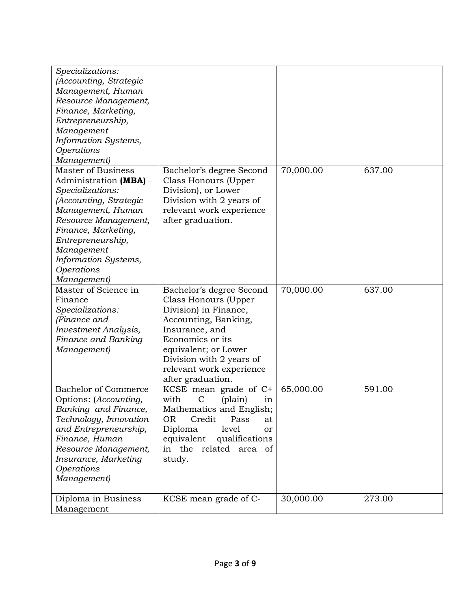| Specializations:<br>(Accounting, Strategic<br>Management, Human<br>Resource Management,<br>Finance, Marketing,<br>Entrepreneurship,<br>Management<br>Information Systems,<br>Operations<br>Management)                                                        |                                                                                                                                                                                                                                              |           |        |
|---------------------------------------------------------------------------------------------------------------------------------------------------------------------------------------------------------------------------------------------------------------|----------------------------------------------------------------------------------------------------------------------------------------------------------------------------------------------------------------------------------------------|-----------|--------|
| <b>Master of Business</b><br>Administration (MBA) -<br>Specializations:<br>(Accounting, Strategic<br>Management, Human<br>Resource Management,<br>Finance, Marketing,<br>Entrepreneurship,<br>Management<br>Information Systems,<br>Operations<br>Management) | Bachelor's degree Second<br>Class Honours (Upper<br>Division), or Lower<br>Division with 2 years of<br>relevant work experience<br>after graduation.                                                                                         | 70,000.00 | 637.00 |
| Master of Science in<br>Finance<br>Specializations:<br>(Finance and<br><b>Investment Analysis,</b><br>Finance and Banking<br>Management)                                                                                                                      | Bachelor's degree Second<br>Class Honours (Upper<br>Division) in Finance,<br>Accounting, Banking,<br>Insurance, and<br>Economics or its<br>equivalent; or Lower<br>Division with 2 years of<br>relevant work experience<br>after graduation. | 70,000.00 | 637.00 |
| <b>Bachelor of Commerce</b><br>Options: (Accounting,<br>Banking and Finance,<br>Technology, Innovation<br>and Entrepreneurship,<br>Finance, Human<br>Resource Management,<br>Insurance, Marketing<br>Operations<br>Management)                                | KCSE mean grade of $C^+$<br>with<br>(plain)<br>$\mathsf{C}$<br>in<br>Mathematics and English;<br>Credit<br><b>OR</b><br>Pass<br>at<br>Diploma<br>level<br>or<br>equivalent<br>qualifications<br>related<br>in the<br>area of<br>study.       | 65,000.00 | 591.00 |
| Diploma in Business<br>Management                                                                                                                                                                                                                             | KCSE mean grade of C-                                                                                                                                                                                                                        | 30,000.00 | 273.00 |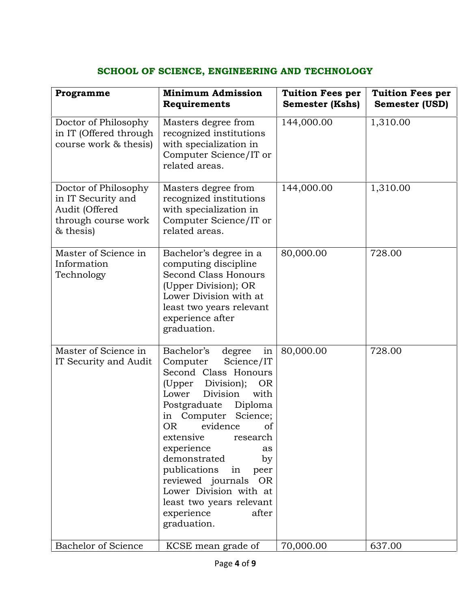## SCHOOL OF SCIENCE, ENGINEERING AND TECHNOLOGY

| Programme                                                                                        | <b>Minimum Admission</b><br>Requirements                                                                                                                                                                                                                                                                                                                                                                                              | <b>Tuition Fees per</b><br><b>Semester (Kshs)</b> | <b>Tuition Fees per</b><br><b>Semester (USD)</b> |
|--------------------------------------------------------------------------------------------------|---------------------------------------------------------------------------------------------------------------------------------------------------------------------------------------------------------------------------------------------------------------------------------------------------------------------------------------------------------------------------------------------------------------------------------------|---------------------------------------------------|--------------------------------------------------|
| Doctor of Philosophy<br>in IT (Offered through<br>course work & thesis)                          | Masters degree from<br>recognized institutions<br>with specialization in<br>Computer Science/IT or<br>related areas.                                                                                                                                                                                                                                                                                                                  | 144,000.00                                        | 1,310.00                                         |
| Doctor of Philosophy<br>in IT Security and<br>Audit (Offered<br>through course work<br>& thesis) | Masters degree from<br>recognized institutions<br>with specialization in<br>Computer Science/IT or<br>related areas.                                                                                                                                                                                                                                                                                                                  | 144,000.00                                        | 1,310.00                                         |
| Master of Science in<br>Information<br>Technology                                                | Bachelor's degree in a<br>computing discipline<br>Second Class Honours<br>(Upper Division); OR<br>Lower Division with at<br>least two years relevant<br>experience after<br>graduation.                                                                                                                                                                                                                                               | 80,000.00                                         | 728.00                                           |
| Master of Science in<br>IT Security and Audit                                                    | Bachelor's<br>in<br>degree<br>Science/IT<br>Computer<br>Second Class Honours<br>(Upper Division);<br><b>OR</b><br>Lower<br>Division<br>with<br>Postgraduate Diploma<br>in Computer Science;<br>OR<br>evidence<br>of<br>extensive<br>research<br>experience<br>as<br>demonstrated<br>by<br>publications<br>in peer<br>reviewed journals OR<br>Lower Division with at<br>least two years relevant<br>experience<br>after<br>graduation. | 80,000.00                                         | 728.00                                           |
| <b>Bachelor of Science</b>                                                                       | KCSE mean grade of                                                                                                                                                                                                                                                                                                                                                                                                                    | 70,000.00                                         | 637.00                                           |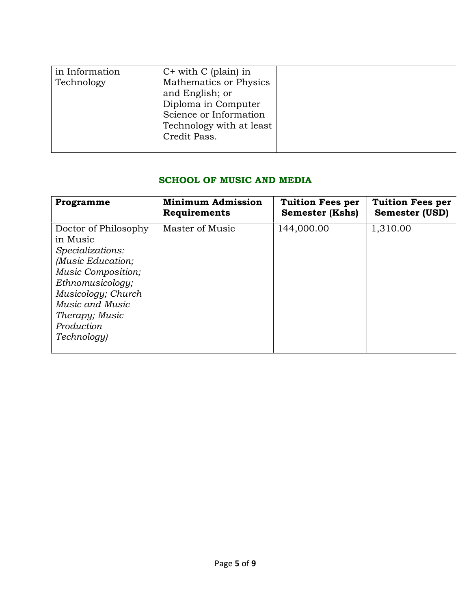| in Information | $C+$ with $C$ (plain) in |  |
|----------------|--------------------------|--|
| Technology     | Mathematics or Physics   |  |
|                | and English; or          |  |
|                | Diploma in Computer      |  |
|                | Science or Information   |  |
|                | Technology with at least |  |
|                | Credit Pass.             |  |
|                |                          |  |

### SCHOOL OF MUSIC AND MEDIA

| Programme                                                                                                                                                                                                          | <b>Minimum Admission</b> | <b>Tuition Fees per</b> | <b>Tuition Fees per</b> |
|--------------------------------------------------------------------------------------------------------------------------------------------------------------------------------------------------------------------|--------------------------|-------------------------|-------------------------|
|                                                                                                                                                                                                                    | Requirements             | <b>Semester (Kshs)</b>  | <b>Semester (USD)</b>   |
| Doctor of Philosophy<br>in Music<br>Specializations:<br>(Music Education;<br><b>Music Composition;</b><br>Ethnomusicology;<br>Musicology; Church<br>Music and Music<br>Therapy; Music<br>Production<br>Technology) | Master of Music          | 144,000.00              | 1,310.00                |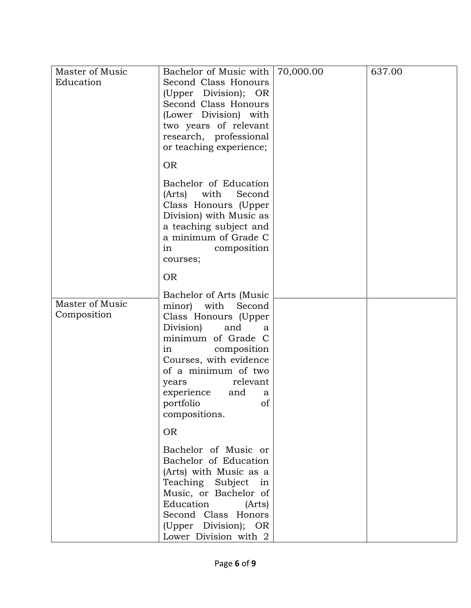| Master of Music<br>Education   | Bachelor of Music with<br>Second Class Honours<br>(Upper Division); OR<br>Second Class Honours<br>(Lower Division) with<br>two years of relevant<br>research, professional<br>or teaching experience;                                                                                      | 70,000.00 | 637.00 |
|--------------------------------|--------------------------------------------------------------------------------------------------------------------------------------------------------------------------------------------------------------------------------------------------------------------------------------------|-----------|--------|
|                                | <b>OR</b>                                                                                                                                                                                                                                                                                  |           |        |
|                                | Bachelor of Education<br>(Arts)<br>with<br>Second<br>Class Honours (Upper<br>Division) with Music as<br>a teaching subject and<br>a minimum of Grade C<br>composition<br>in<br>courses;                                                                                                    |           |        |
|                                | <b>OR</b>                                                                                                                                                                                                                                                                                  |           |        |
| Master of Music<br>Composition | Bachelor of Arts (Music<br>minor) with Second<br>Class Honours (Upper<br>Division)<br>and<br>a<br>minimum of Grade C<br>composition<br>in<br>Courses, with evidence<br>of a minimum of two<br>relevant<br>years<br>experience<br>and<br>a<br>portfolio<br>of<br>compositions.<br><b>OR</b> |           |        |
|                                | Bachelor of Music or<br>Bachelor of Education<br>(Arts) with Music as a<br>Teaching Subject in<br>Music, or Bachelor of<br>Education (Arts)<br>Second Class Honors<br>(Upper Division); OR<br>Lower Division with 2                                                                        |           |        |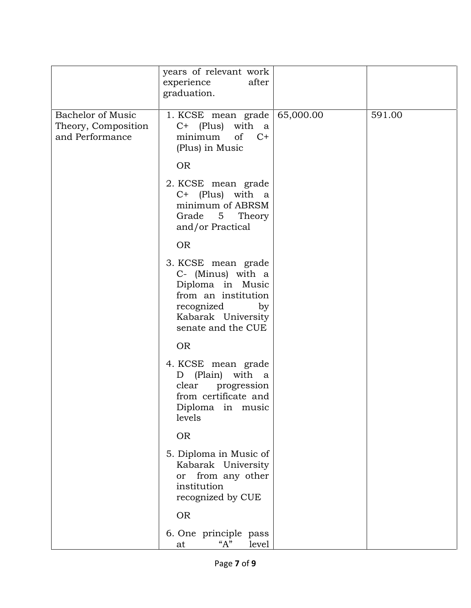|                                                                    | years of relevant work<br>experience<br>after<br>graduation.                                                                                       |           |        |
|--------------------------------------------------------------------|----------------------------------------------------------------------------------------------------------------------------------------------------|-----------|--------|
| <b>Bachelor of Music</b><br>Theory, Composition<br>and Performance | 1. KCSE mean grade<br>C+ (Plus)<br>with a<br>of<br>$C+$<br>minimum<br>(Plus) in Music                                                              | 65,000.00 | 591.00 |
|                                                                    | <b>OR</b>                                                                                                                                          |           |        |
|                                                                    | 2. KCSE mean grade<br>C+ (Plus) with<br><sub>a</sub><br>minimum of ABRSM<br>Grade 5 Theory<br>and/or Practical                                     |           |        |
|                                                                    | <b>OR</b>                                                                                                                                          |           |        |
|                                                                    | 3. KCSE mean grade<br>C- (Minus) with a<br>Diploma in Music<br>from an institution<br>recognized<br>by<br>Kabarak University<br>senate and the CUE |           |        |
|                                                                    | <b>OR</b>                                                                                                                                          |           |        |
|                                                                    | 4. KCSE mean grade<br>(Plain) with a<br>D<br>clear progression<br>from certificate and<br>Diploma in music<br>levels                               |           |        |
|                                                                    | <b>OR</b>                                                                                                                                          |           |        |
|                                                                    | 5. Diploma in Music of<br>Kabarak University<br>from any other<br><b>or</b><br>institution<br>recognized by CUE                                    |           |        |
|                                                                    | <b>OR</b>                                                                                                                                          |           |        |
|                                                                    | 6. One principle pass<br>"A"<br>level<br>at                                                                                                        |           |        |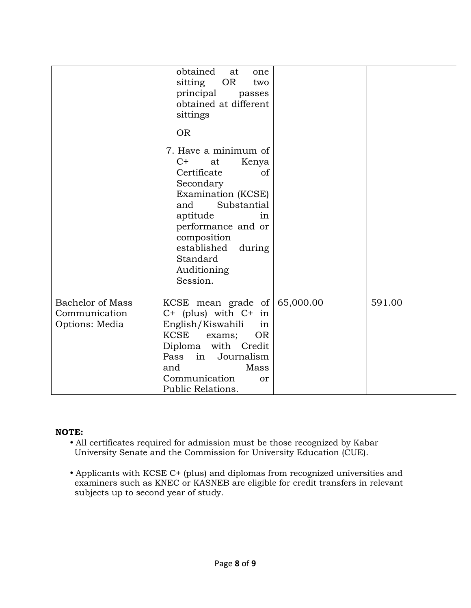|                                                            | obtained<br>at<br>one<br>sitting<br><b>OR</b><br>two<br>principal<br>passes<br>obtained at different<br>sittings<br><b>OR</b><br>7. Have a minimum of<br>$C+$<br>Kenya<br>at<br>Certificate<br>of<br>Secondary<br>Examination (KCSE)<br>and<br>Substantial<br>aptitude<br>in<br>performance and or<br>composition<br>established<br>during<br>Standard<br>Auditioning<br>Session. |        |
|------------------------------------------------------------|-----------------------------------------------------------------------------------------------------------------------------------------------------------------------------------------------------------------------------------------------------------------------------------------------------------------------------------------------------------------------------------|--------|
| <b>Bachelor of Mass</b><br>Communication<br>Options: Media | KCSE mean grade of $ $ 65,000.00<br>$C+$ (plus) with $C+$ in<br>English/Kiswahili<br>in<br><b>KCSE</b><br>OR.<br>exams;<br>Diploma with Credit<br>Journalism<br>Pass<br>in<br>and<br>Mass<br>Communication<br><sub>or</sub><br>Public Relations.                                                                                                                                  | 591.00 |

### NOTE:

- All certificates required for admission must be those recognized by Kabar University Senate and the Commission for University Education (CUE).
- Applicants with KCSE C+ (plus) and diplomas from recognized universities and examiners such as KNEC or KASNEB are eligible for credit transfers in relevant subjects up to second year of study.